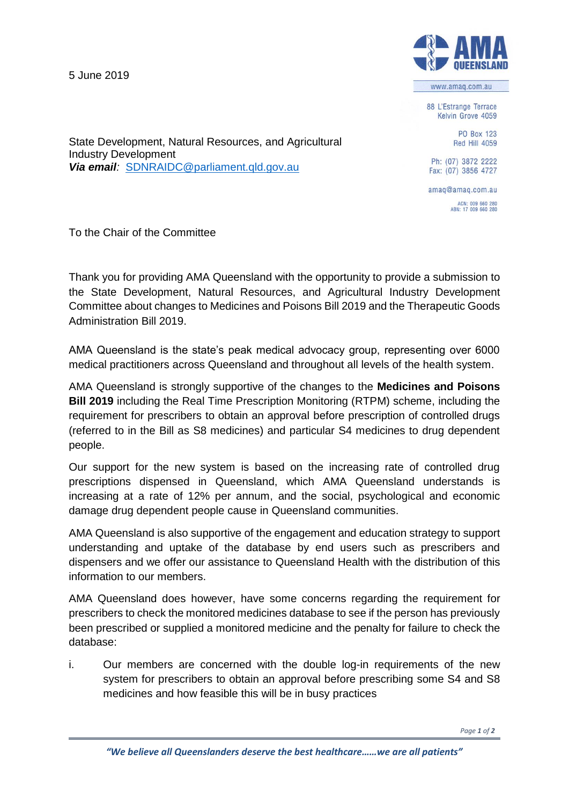5 June 2019



www.amag.com.au

88 L'Estrange Terrace Kelvin Grove 4059

> **PO Box 123** Red Hill 4059

State Development, Natural Resources, and Agricultural Industry Development *Via email:* [SDNRAIDC@parliament.qld.gov.au](mailto:SDNRAIDC@parliament.qld.gov.au)

Ph: (07) 3872 2222 Fax: (07) 3856 4727

amaq@amaq.com.au ACN: 009 660 280<br>ABN: 17 009 660 280

To the Chair of the Committee

Thank you for providing AMA Queensland with the opportunity to provide a submission to the State Development, Natural Resources, and Agricultural Industry Development Committee about changes to Medicines and Poisons Bill 2019 and the Therapeutic Goods Administration Bill 2019.

AMA Queensland is the state's peak medical advocacy group, representing over 6000 medical practitioners across Queensland and throughout all levels of the health system.

AMA Queensland is strongly supportive of the changes to the **Medicines and Poisons Bill 2019** including the Real Time Prescription Monitoring (RTPM) scheme, including the requirement for prescribers to obtain an approval before prescription of controlled drugs (referred to in the Bill as S8 medicines) and particular S4 medicines to drug dependent people.

Our support for the new system is based on the increasing rate of controlled drug prescriptions dispensed in Queensland, which AMA Queensland understands is increasing at a rate of 12% per annum, and the social, psychological and economic damage drug dependent people cause in Queensland communities.

AMA Queensland is also supportive of the engagement and education strategy to support understanding and uptake of the database by end users such as prescribers and dispensers and we offer our assistance to Queensland Health with the distribution of this information to our members.

AMA Queensland does however, have some concerns regarding the requirement for prescribers to check the monitored medicines database to see if the person has previously been prescribed or supplied a monitored medicine and the penalty for failure to check the database:

i. Our members are concerned with the double log-in requirements of the new system for prescribers to obtain an approval before prescribing some S4 and S8 medicines and how feasible this will be in busy practices

*Page 1 of 2*